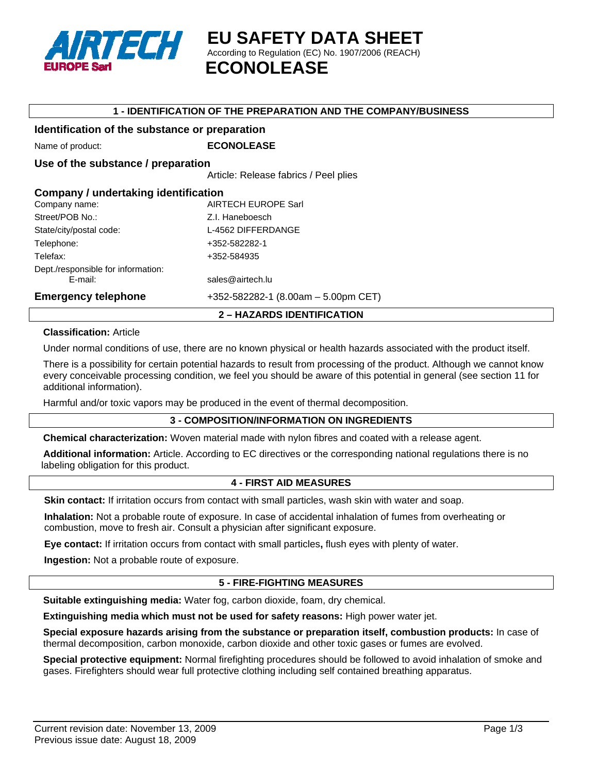

**EU SAFETY DATA SHEET**  According to Regulation (EC) No. 1907/2006 (REACH)  **ECONOLEASE**

## **1 - IDENTIFICATION OF THE PREPARATION AND THE COMPANY/BUSINESS**

## **Identification of the substance or preparation**

Name of product: **ECONOLEASE** 

## **Use of the substance / preparation**

Article: Release fabrics / Peel plies

| Company / undertaking identification<br>AIRTECH EUROPE Sarl<br>Company name: |                                     |  |
|------------------------------------------------------------------------------|-------------------------------------|--|
| Street/POB No.:                                                              | Z.I. Haneboesch                     |  |
| State/city/postal code:                                                      | L-4562 DIFFERDANGE                  |  |
| Telephone:                                                                   | +352-582282-1                       |  |
| Telefax:                                                                     | +352-584935                         |  |
| Dept./responsible for information:<br>E-mail:                                | sales@airtech.lu                    |  |
| <b>Emergency telephone</b>                                                   | +352-582282-1 (8.00am - 5.00pm CET) |  |

**2 – HAZARDS IDENTIFICATION** 

#### **Classification:** Article

Under normal conditions of use, there are no known physical or health hazards associated with the product itself.

There is a possibility for certain potential hazards to result from processing of the product. Although we cannot know every conceivable processing condition, we feel you should be aware of this potential in general (see section 11 for additional information).

Harmful and/or toxic vapors may be produced in the event of thermal decomposition.

## **3 - COMPOSITION/INFORMATION ON INGREDIENTS**

**Chemical characterization:** Woven material made with nylon fibres and coated with a release agent.

**Additional information:** Article. According to EC directives or the corresponding national regulations there is no labeling obligation for this product.

## **4 - FIRST AID MEASURES**

**Skin contact:** If irritation occurs from contact with small particles, wash skin with water and soap.

**Inhalation:** Not a probable route of exposure. In case of accidental inhalation of fumes from overheating or combustion, move to fresh air. Consult a physician after significant exposure.

**Eye contact:** If irritation occurs from contact with small particles**,** flush eyes with plenty of water.

**Ingestion:** Not a probable route of exposure.

## **5 - FIRE-FIGHTING MEASURES**

**Suitable extinguishing media:** Water fog, carbon dioxide, foam, dry chemical.

**Extinguishing media which must not be used for safety reasons:** High power water jet.

**Special exposure hazards arising from the substance or preparation itself, combustion products:** In case of thermal decomposition, carbon monoxide, carbon dioxide and other toxic gases or fumes are evolved.

**Special protective equipment:** Normal firefighting procedures should be followed to avoid inhalation of smoke and gases. Firefighters should wear full protective clothing including self contained breathing apparatus.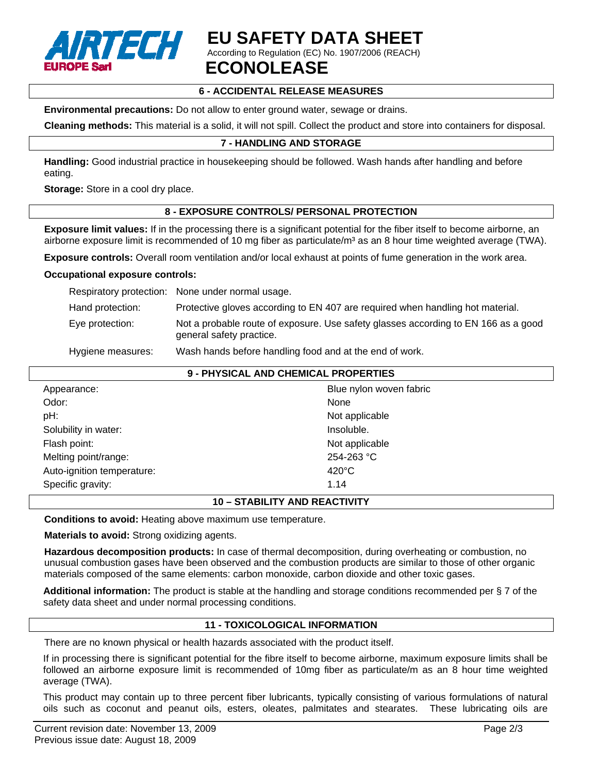

# **EU SAFETY DATA SHEET**

According to Regulation (EC) No. 1907/2006 (REACH)

## **ECONOLEASE**

## **6 - ACCIDENTAL RELEASE MEASURES**

**Environmental precautions:** Do not allow to enter ground water, sewage or drains.

**Cleaning methods:** This material is a solid, it will not spill. Collect the product and store into containers for disposal.

## **7 - HANDLING AND STORAGE**

**Handling:** Good industrial practice in housekeeping should be followed. Wash hands after handling and before eating.

**Storage:** Store in a cool dry place.

## **8 - EXPOSURE CONTROLS/ PERSONAL PROTECTION**

**Exposure limit values:** If in the processing there is a significant potential for the fiber itself to become airborne, an airborne exposure limit is recommended of 10 mg fiber as particulate/ $m<sup>3</sup>$  as an 8 hour time weighted average (TWA).

**Exposure controls:** Overall room ventilation and/or local exhaust at points of fume generation in the work area.

#### **Occupational exposure controls:**

|                   | Respiratory protection: None under normal usage.                                                               |
|-------------------|----------------------------------------------------------------------------------------------------------------|
| Hand protection:  | Protective gloves according to EN 407 are required when handling hot material.                                 |
| Eye protection:   | Not a probable route of exposure. Use safety glasses according to EN 166 as a good<br>general safety practice. |
| Hygiene measures: | Wash hands before handling food and at the end of work.                                                        |

| 9 - PHYSICAL AND CHEMICAL PROPERTIES |                         |  |
|--------------------------------------|-------------------------|--|
| Appearance:                          | Blue nylon woven fabric |  |
| Odor:                                | None                    |  |
| pH:                                  | Not applicable          |  |
| Solubility in water:                 | Insoluble.              |  |
| Flash point:                         | Not applicable          |  |
| Melting point/range:                 | $254 - 263$ °C          |  |
| Auto-ignition temperature:           | $420^{\circ}$ C         |  |
| Specific gravity:                    | 1.14                    |  |

## **10 – STABILITY AND REACTIVITY**

**Conditions to avoid:** Heating above maximum use temperature.

**Materials to avoid:** Strong oxidizing agents.

**Hazardous decomposition products:** In case of thermal decomposition, during overheating or combustion, no unusual combustion gases have been observed and the combustion products are similar to those of other organic materials composed of the same elements: carbon monoxide, carbon dioxide and other toxic gases.

**Additional information:** The product is stable at the handling and storage conditions recommended per § 7 of the safety data sheet and under normal processing conditions.

## **11 - TOXICOLOGICAL INFORMATION**

There are no known physical or health hazards associated with the product itself.

If in processing there is significant potential for the fibre itself to become airborne, maximum exposure limits shall be followed an airborne exposure limit is recommended of 10mg fiber as particulate/m as an 8 hour time weighted average (TWA).

This product may contain up to three percent fiber lubricants, typically consisting of various formulations of natural oils such as coconut and peanut oils, esters, oleates, palmitates and stearates. These lubricating oils are